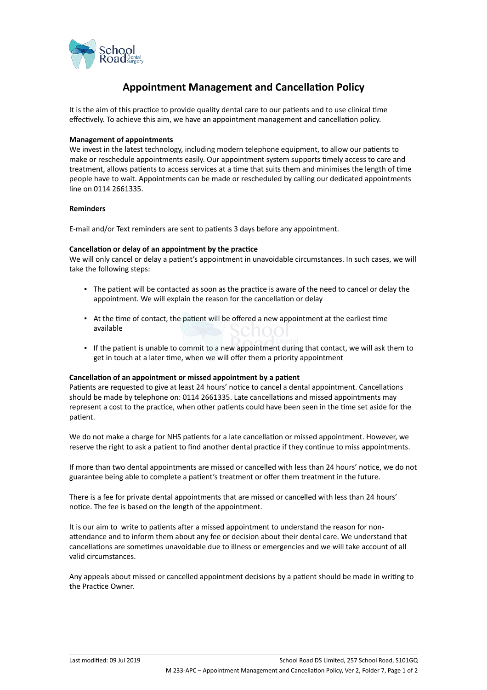

# **Appointment Management and Cancellation Policy**

It is the aim of this practice to provide quality dental care to our patients and to use clinical time effectively. To achieve this aim, we have an appointment management and cancellation policy.

### **Management of appointments**

We invest in the latest technology, including modern telephone equipment, to allow our patients to make or reschedule appointments easily. Our appointment system supports timely access to care and treatment, allows patients to access services at a time that suits them and minimises the length of time people have to wait. Appointments can be made or rescheduled by calling our dedicated appointments line on 0114 2661335.

#### **Reminders**

E-mail and/or Text reminders are sent to patients 3 days before any appointment.

#### **Cancellation or delay of an appointment by the practice**

We will only cancel or delay a patient's appointment in unavoidable circumstances. In such cases, we will take the following steps:

- The patient will be contacted as soon as the practice is aware of the need to cancel or delay the appointment. We will explain the reason for the cancellation or delay
- At the time of contact, the patient will be offered a new appointment at the earliest time available
- If the patient is unable to commit to a new appointment during that contact, we will ask them to get in touch at a later time, when we will offer them a priority appointment

## **Cancellation of an appointment or missed appointment by a patient**

Patients are requested to give at least 24 hours' notice to cancel a dental appointment. Cancellations should be made by telephone on: 0114 2661335. Late cancellations and missed appointments may represent a cost to the practice, when other patients could have been seen in the time set aside for the patient.

We do not make a charge for NHS patients for a late cancellation or missed appointment. However, we reserve the right to ask a patient to find another dental practice if they continue to miss appointments.

If more than two dental appointments are missed or cancelled with less than 24 hours' notice, we do not guarantee being able to complete a patient's treatment or offer them treatment in the future.

There is a fee for private dental appointments that are missed or cancelled with less than 24 hours' notice. The fee is based on the length of the appointment.

It is our aim to write to patients after a missed appointment to understand the reason for nonattendance and to inform them about any fee or decision about their dental care. We understand that cancellations are sometimes unavoidable due to illness or emergencies and we will take account of all valid circumstances.

Any appeals about missed or cancelled appointment decisions by a patient should be made in writing to the Practice Owner.